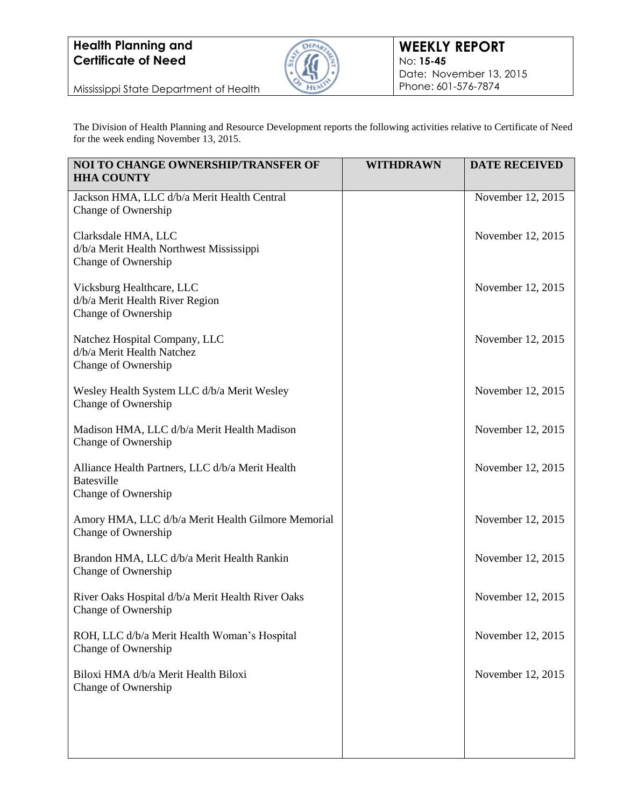

Mississippi State Department of Health

The Division of Health Planning and Resource Development reports the following activities relative to Certificate of Need for the week ending November 13, 2015.

| NOI TO CHANGE OWNERSHIP/TRANSFER OF<br><b>HHA COUNTY</b>                                     | <b>WITHDRAWN</b> | <b>DATE RECEIVED</b> |
|----------------------------------------------------------------------------------------------|------------------|----------------------|
| Jackson HMA, LLC d/b/a Merit Health Central<br>Change of Ownership                           |                  | November 12, 2015    |
| Clarksdale HMA, LLC<br>d/b/a Merit Health Northwest Mississippi<br>Change of Ownership       |                  | November 12, 2015    |
| Vicksburg Healthcare, LLC<br>d/b/a Merit Health River Region<br>Change of Ownership          |                  | November 12, 2015    |
| Natchez Hospital Company, LLC<br>d/b/a Merit Health Natchez<br>Change of Ownership           |                  | November 12, 2015    |
| Wesley Health System LLC d/b/a Merit Wesley<br>Change of Ownership                           |                  | November 12, 2015    |
| Madison HMA, LLC d/b/a Merit Health Madison<br>Change of Ownership                           |                  | November 12, 2015    |
| Alliance Health Partners, LLC d/b/a Merit Health<br><b>Batesville</b><br>Change of Ownership |                  | November 12, 2015    |
| Amory HMA, LLC d/b/a Merit Health Gilmore Memorial<br>Change of Ownership                    |                  | November 12, 2015    |
| Brandon HMA, LLC d/b/a Merit Health Rankin<br>Change of Ownership                            |                  | November 12, 2015    |
| River Oaks Hospital d/b/a Merit Health River Oaks<br>Change of Ownership                     |                  | November 12, 2015    |
| ROH, LLC d/b/a Merit Health Woman's Hospital<br>Change of Ownership                          |                  | November 12, 2015    |
| Biloxi HMA d/b/a Merit Health Biloxi<br>Change of Ownership                                  |                  | November 12, 2015    |
|                                                                                              |                  |                      |
|                                                                                              |                  |                      |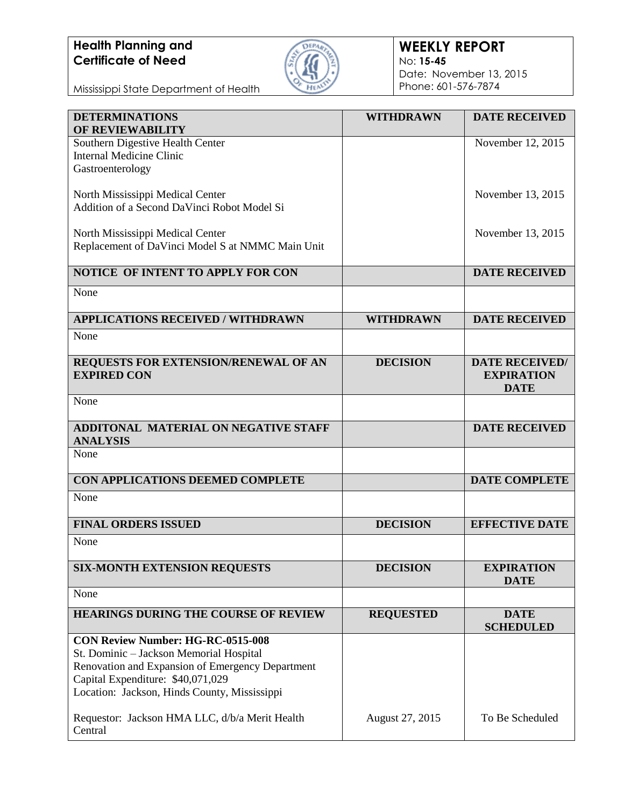

### **WEEKLY REPORT** No: **15-45** Date: November 13, 2015 Phone: 601-576-7874

Mississippi State Department of Health

| <b>DETERMINATIONS</b><br><b>OF REVIEWABILITY</b>                                            | <b>WITHDRAWN</b> | <b>DATE RECEIVED</b>             |
|---------------------------------------------------------------------------------------------|------------------|----------------------------------|
| Southern Digestive Health Center                                                            |                  | November 12, 2015                |
| <b>Internal Medicine Clinic</b>                                                             |                  |                                  |
| Gastroenterology                                                                            |                  |                                  |
| North Mississippi Medical Center                                                            |                  | November 13, 2015                |
| Addition of a Second DaVinci Robot Model Si                                                 |                  |                                  |
| North Mississippi Medical Center                                                            |                  | November 13, 2015                |
| Replacement of DaVinci Model S at NMMC Main Unit                                            |                  |                                  |
| NOTICE OF INTENT TO APPLY FOR CON                                                           |                  | <b>DATE RECEIVED</b>             |
| None                                                                                        |                  |                                  |
| <b>APPLICATIONS RECEIVED / WITHDRAWN</b>                                                    | <b>WITHDRAWN</b> | <b>DATE RECEIVED</b>             |
| None                                                                                        |                  |                                  |
| REQUESTS FOR EXTENSION/RENEWAL OF AN                                                        | <b>DECISION</b>  | <b>DATE RECEIVED/</b>            |
| <b>EXPIRED CON</b>                                                                          |                  | <b>EXPIRATION</b><br><b>DATE</b> |
| None                                                                                        |                  |                                  |
| <b>ADDITONAL MATERIAL ON NEGATIVE STAFF</b>                                                 |                  | <b>DATE RECEIVED</b>             |
| <b>ANALYSIS</b>                                                                             |                  |                                  |
| None                                                                                        |                  |                                  |
| CON APPLICATIONS DEEMED COMPLETE                                                            |                  | <b>DATE COMPLETE</b>             |
| None                                                                                        |                  |                                  |
| <b>FINAL ORDERS ISSUED</b>                                                                  | <b>DECISION</b>  | <b>EFFECTIVE DATE</b>            |
| None                                                                                        |                  |                                  |
| <b>SIX-MONTH EXTENSION REQUESTS</b>                                                         | <b>DECISION</b>  | <b>EXPIRATION</b>                |
|                                                                                             |                  | <b>DATE</b>                      |
| None                                                                                        |                  |                                  |
| <b>HEARINGS DURING THE COURSE OF REVIEW</b>                                                 | <b>REQUESTED</b> | <b>DATE</b><br><b>SCHEDULED</b>  |
| <b>CON Review Number: HG-RC-0515-008</b>                                                    |                  |                                  |
| St. Dominic - Jackson Memorial Hospital<br>Renovation and Expansion of Emergency Department |                  |                                  |
| Capital Expenditure: \$40,071,029                                                           |                  |                                  |
| Location: Jackson, Hinds County, Mississippi                                                |                  |                                  |
| Requestor: Jackson HMA LLC, d/b/a Merit Health                                              | August 27, 2015  | To Be Scheduled                  |
| Central                                                                                     |                  |                                  |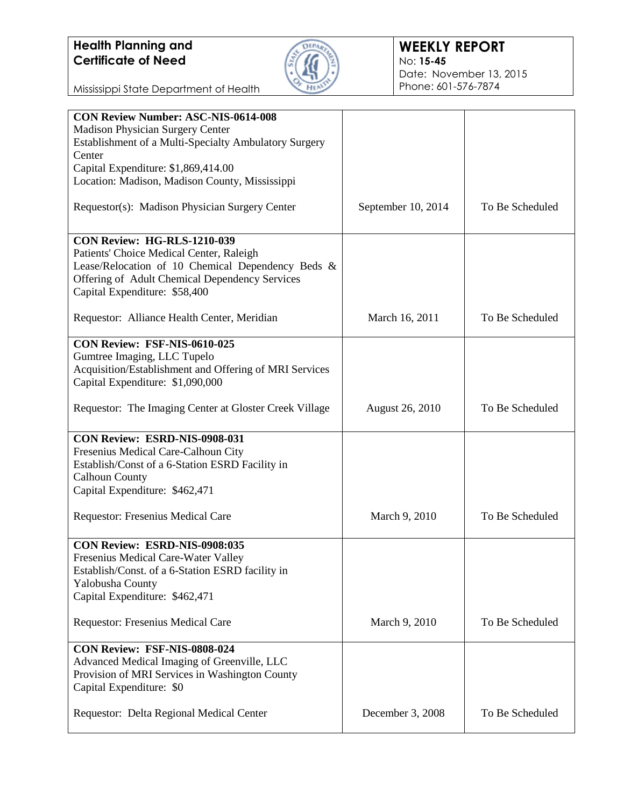

### **WEEKLY REPORT** No: **15-45** Date: November 13, 2015 Phone: 601-576-7874

Mississippi State Department of Health

| <b>CON Review Number: ASC-NIS-0614-008</b>             |                        |                 |
|--------------------------------------------------------|------------------------|-----------------|
| <b>Madison Physician Surgery Center</b>                |                        |                 |
| Establishment of a Multi-Specialty Ambulatory Surgery  |                        |                 |
| Center                                                 |                        |                 |
| Capital Expenditure: \$1,869,414.00                    |                        |                 |
|                                                        |                        |                 |
| Location: Madison, Madison County, Mississippi         |                        |                 |
| Requestor(s): Madison Physician Surgery Center         | September 10, 2014     | To Be Scheduled |
| <b>CON Review: HG-RLS-1210-039</b>                     |                        |                 |
| Patients' Choice Medical Center, Raleigh               |                        |                 |
|                                                        |                        |                 |
| Lease/Relocation of 10 Chemical Dependency Beds &      |                        |                 |
| Offering of Adult Chemical Dependency Services         |                        |                 |
| Capital Expenditure: \$58,400                          |                        |                 |
|                                                        |                        |                 |
| Requestor: Alliance Health Center, Meridian            | March 16, 2011         | To Be Scheduled |
|                                                        |                        |                 |
| CON Review: FSF-NIS-0610-025                           |                        |                 |
| Gumtree Imaging, LLC Tupelo                            |                        |                 |
| Acquisition/Establishment and Offering of MRI Services |                        |                 |
| Capital Expenditure: \$1,090,000                       |                        |                 |
|                                                        |                        |                 |
|                                                        |                        |                 |
| Requestor: The Imaging Center at Gloster Creek Village | <b>August 26, 2010</b> | To Be Scheduled |
|                                                        |                        |                 |
| CON Review: ESRD-NIS-0908-031                          |                        |                 |
| Fresenius Medical Care-Calhoun City                    |                        |                 |
| Establish/Const of a 6-Station ESRD Facility in        |                        |                 |
| <b>Calhoun County</b>                                  |                        |                 |
|                                                        |                        |                 |
| Capital Expenditure: \$462,471                         |                        |                 |
|                                                        |                        |                 |
| Requestor: Fresenius Medical Care                      | March 9, 2010          | To Be Scheduled |
|                                                        |                        |                 |
| CON Review: ESRD-NIS-0908:035                          |                        |                 |
| Fresenius Medical Care-Water Valley                    |                        |                 |
| Establish/Const. of a 6-Station ESRD facility in       |                        |                 |
|                                                        |                        |                 |
| Yalobusha County                                       |                        |                 |
| Capital Expenditure: \$462,471                         |                        |                 |
|                                                        |                        |                 |
| Requestor: Fresenius Medical Care                      | March 9, 2010          | To Be Scheduled |
|                                                        |                        |                 |
| CON Review: FSF-NIS-0808-024                           |                        |                 |
| Advanced Medical Imaging of Greenville, LLC            |                        |                 |
|                                                        |                        |                 |
| Provision of MRI Services in Washington County         |                        |                 |
| Capital Expenditure: \$0                               |                        |                 |
|                                                        |                        |                 |
| Requestor: Delta Regional Medical Center               | December 3, 2008       | To Be Scheduled |
|                                                        |                        |                 |